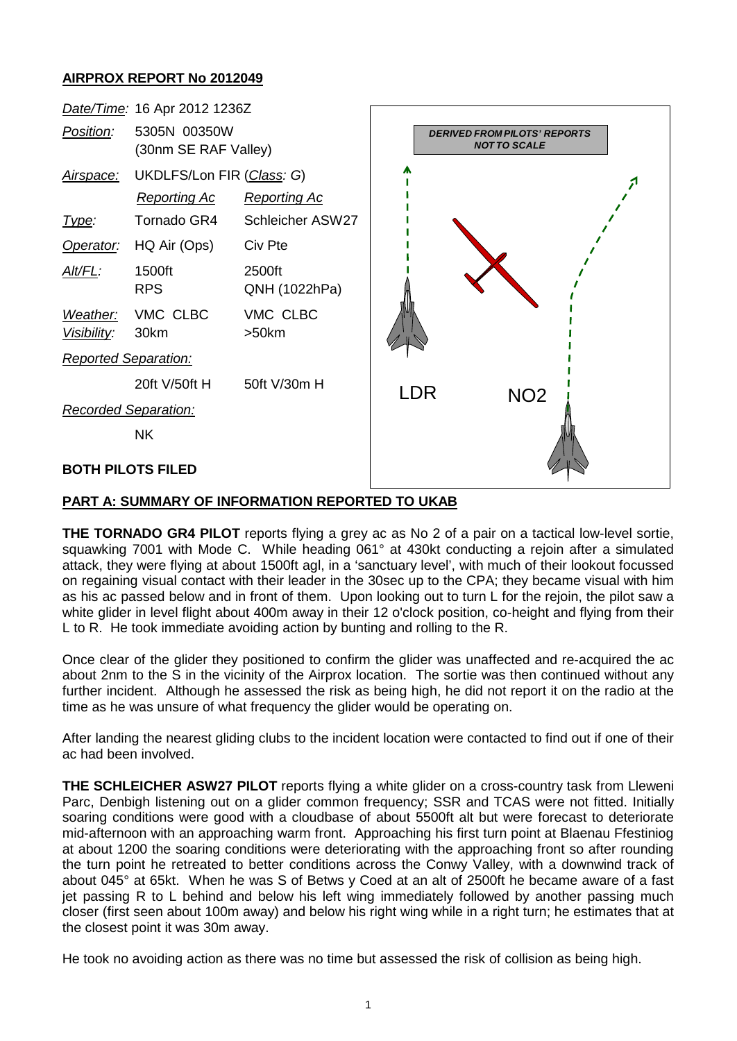## **AIRPROX REPORT No 2012049**



## **PART A: SUMMARY OF INFORMATION REPORTED TO UKAB**

**THE TORNADO GR4 PILOT** reports flying a grey ac as No 2 of a pair on a tactical low-level sortie, squawking 7001 with Mode C. While heading 061° at 430kt conducting a rejoin after a simulated attack, they were flying at about 1500ft agl, in a 'sanctuary level', with much of their lookout focussed on regaining visual contact with their leader in the 30sec up to the CPA; they became visual with him as his ac passed below and in front of them. Upon looking out to turn L for the rejoin, the pilot saw a white glider in level flight about 400m away in their 12 o'clock position, co-height and flying from their L to R. He took immediate avoiding action by bunting and rolling to the R.

Once clear of the glider they positioned to confirm the glider was unaffected and re-acquired the ac about 2nm to the S in the vicinity of the Airprox location. The sortie was then continued without any further incident. Although he assessed the risk as being high, he did not report it on the radio at the time as he was unsure of what frequency the glider would be operating on.

After landing the nearest gliding clubs to the incident location were contacted to find out if one of their ac had been involved.

**THE SCHLEICHER ASW27 PILOT** reports flying a white glider on a cross-country task from Lleweni Parc, Denbigh listening out on a glider common frequency; SSR and TCAS were not fitted. Initially soaring conditions were good with a cloudbase of about 5500ft alt but were forecast to deteriorate mid-afternoon with an approaching warm front. Approaching his first turn point at Blaenau Ffestiniog at about 1200 the soaring conditions were deteriorating with the approaching front so after rounding the turn point he retreated to better conditions across the Conwy Valley, with a downwind track of about 045° at 65kt. When he was S of Betws y Coed at an alt of 2500ft he became aware of a fast jet passing R to L behind and below his left wing immediately followed by another passing much closer (first seen about 100m away) and below his right wing while in a right turn; he estimates that at the closest point it was 30m away.

He took no avoiding action as there was no time but assessed the risk of collision as being high.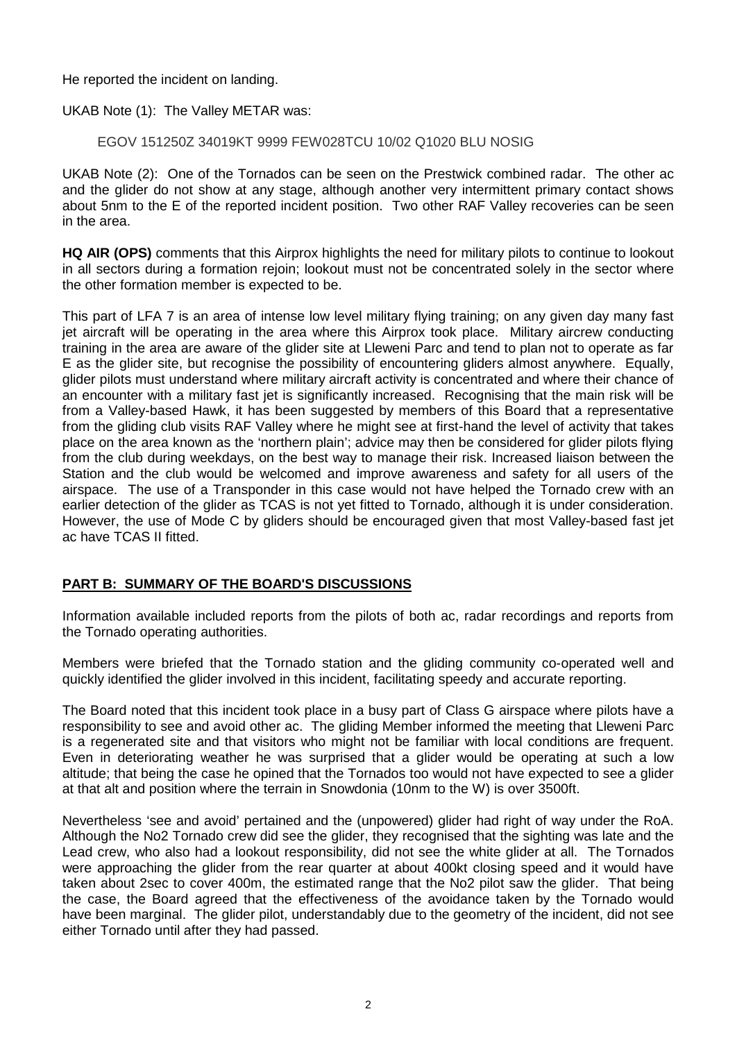He reported the incident on landing.

UKAB Note (1): The Valley METAR was:

EGOV 151250Z 34019KT 9999 FEW028TCU 10/02 Q1020 BLU NOSIG

UKAB Note (2): One of the Tornados can be seen on the Prestwick combined radar. The other ac and the glider do not show at any stage, although another very intermittent primary contact shows about 5nm to the E of the reported incident position. Two other RAF Valley recoveries can be seen in the area.

**HQ AIR (OPS)** comments that this Airprox highlights the need for military pilots to continue to lookout in all sectors during a formation rejoin; lookout must not be concentrated solely in the sector where the other formation member is expected to be.

This part of LFA 7 is an area of intense low level military flying training; on any given day many fast jet aircraft will be operating in the area where this Airprox took place. Military aircrew conducting training in the area are aware of the glider site at Lleweni Parc and tend to plan not to operate as far E as the glider site, but recognise the possibility of encountering gliders almost anywhere. Equally, glider pilots must understand where military aircraft activity is concentrated and where their chance of an encounter with a military fast jet is significantly increased. Recognising that the main risk will be from a Valley-based Hawk, it has been suggested by members of this Board that a representative from the gliding club visits RAF Valley where he might see at first-hand the level of activity that takes place on the area known as the 'northern plain'; advice may then be considered for glider pilots flying from the club during weekdays, on the best way to manage their risk. Increased liaison between the Station and the club would be welcomed and improve awareness and safety for all users of the airspace. The use of a Transponder in this case would not have helped the Tornado crew with an earlier detection of the glider as TCAS is not yet fitted to Tornado, although it is under consideration. However, the use of Mode C by gliders should be encouraged given that most Valley-based fast jet ac have TCAS II fitted.

## **PART B: SUMMARY OF THE BOARD'S DISCUSSIONS**

Information available included reports from the pilots of both ac, radar recordings and reports from the Tornado operating authorities.

Members were briefed that the Tornado station and the gliding community co-operated well and quickly identified the glider involved in this incident, facilitating speedy and accurate reporting.

The Board noted that this incident took place in a busy part of Class G airspace where pilots have a responsibility to see and avoid other ac. The gliding Member informed the meeting that Lleweni Parc is a regenerated site and that visitors who might not be familiar with local conditions are frequent. Even in deteriorating weather he was surprised that a glider would be operating at such a low altitude; that being the case he opined that the Tornados too would not have expected to see a glider at that alt and position where the terrain in Snowdonia (10nm to the W) is over 3500ft.

Nevertheless 'see and avoid' pertained and the (unpowered) glider had right of way under the RoA. Although the No2 Tornado crew did see the glider, they recognised that the sighting was late and the Lead crew, who also had a lookout responsibility, did not see the white glider at all. The Tornados were approaching the glider from the rear quarter at about 400kt closing speed and it would have taken about 2sec to cover 400m, the estimated range that the No2 pilot saw the glider. That being the case, the Board agreed that the effectiveness of the avoidance taken by the Tornado would have been marginal. The glider pilot, understandably due to the geometry of the incident, did not see either Tornado until after they had passed.